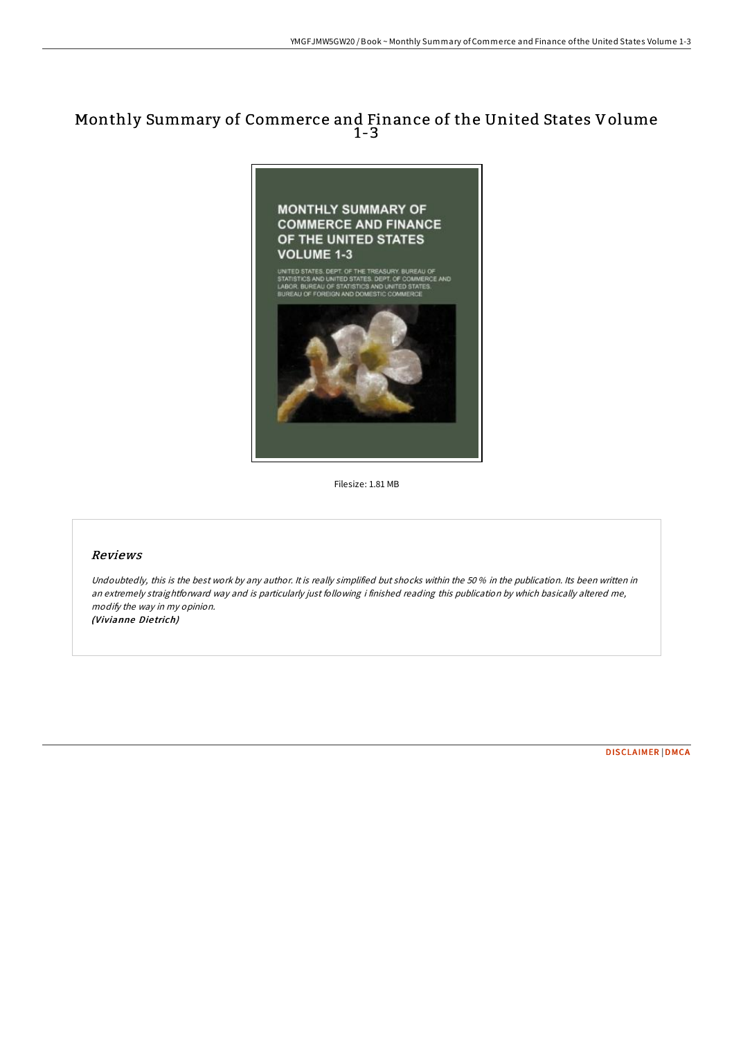## Monthly Summary of Commerce and Finance of the United States Volume 1-3



Filesize: 1.81 MB

## Reviews

Undoubtedly, this is the best work by any author. It is really simplified but shocks within the 50 % in the publication. Its been written in an extremely straightforward way and is particularly just following i finished reading this publication by which basically altered me, modify the way in my opinion. (Vivianne Die trich)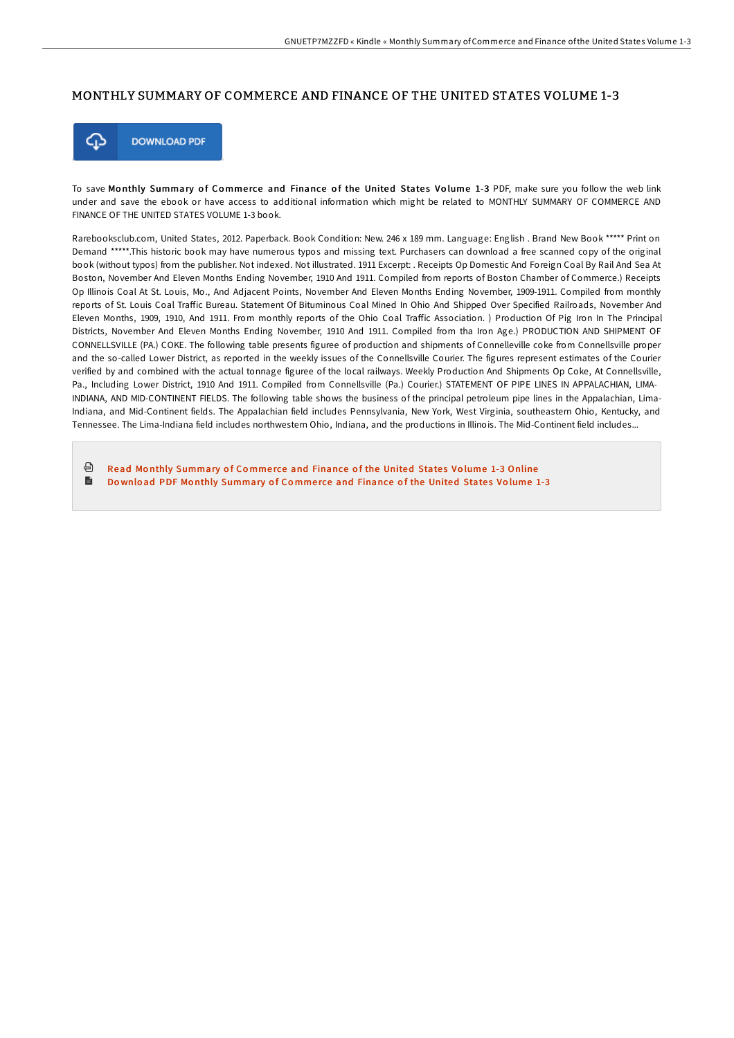## MONTHLY SUMMARY OF COMMERCE AND FINANCE OF THE UNITED STATES VOLUME 1-3



To save Monthly Summary of Commerce and Finance of the United States Volume 1-3 PDF, make sure you follow the web link under and save the ebook or have access to additional information which might be related to MONTHLY SUMMARY OF COMMERCE AND FINANCE OF THE UNITED STATES VOLUME 1-3 book.

Rarebooksclub.com, United States, 2012. Paperback. Book Condition: New. 246 x 189 mm. Language: English . Brand New Book \*\*\*\*\* Print on Demand \*\*\*\*\*.This historic book may have numerous typos and missing text. Purchasers can download a free scanned copy of the original book (without typos) from the publisher. Not indexed. Not illustrated. 1911 Excerpt: . Receipts Op Domestic And Foreign Coal By Rail And Sea At Boston, November And Eleven Months Ending November, 1910 And 1911. Compiled from reports of Boston Chamber of Commerce.) Receipts Op Illinois Coal At St. Louis, Mo., And Adjacent Points, November And Eleven Months Ending November, 1909-1911. Compiled from monthly reports of St. Louis Coal Traffic Bureau. Statement Of Bituminous Coal Mined In Ohio And Shipped Over Specified Railroads, November And Eleven Months, 1909, 1910, And 1911. From monthly reports of the Ohio Coal TraIic Association. ) Production Of Pig Iron In The Principal Districts, November And Eleven Months Ending November, 1910 And 1911. Compiled from tha Iron Age.) PRODUCTION AND SHIPMENT OF CONNELLSVILLE (PA.) COKE. The following table presents figuree of production and shipments of Connelleville coke from Connellsville proper and the so-called Lower District, as reported in the weekly issues of the Connellsville Courier. The figures represent estimates of the Courier verified by and combined with the actual tonnage figuree of the local railways. Weekly Production And Shipments Op Coke, At Connellsville, Pa., Including Lower District, 1910 And 1911. Compiled from Connellsville (Pa.) Courier.) STATEMENT OF PIPE LINES IN APPALACHIAN, LIMA-INDIANA, AND MID-CONTINENT FIELDS. The following table shows the business of the principal petroleum pipe lines in the Appalachian, Lima-Indiana, and Mid-Continent fields. The Appalachian field includes Pennsylvania, New York, West Virginia, southeastern Ohio, Kentucky, and Tennessee. The Lima-Indiana field includes northwestern Ohio, Indiana, and the productions in Illinois. The Mid-Continent field includes...

同 Read Monthly [Summary](http://almighty24.tech/monthly-summary-of-commerce-and-finance-of-the-u.html) of Commerce and Finance of the United States Volume 1-3 Online B Download PDF Monthly [Summary](http://almighty24.tech/monthly-summary-of-commerce-and-finance-of-the-u.html) of Commerce and Finance of the United States Volume 1-3